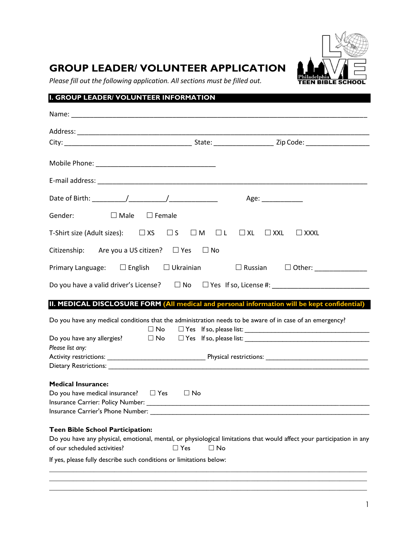

# **GROUP LEADER/ VOLUNTEER APPLICATION**

*Please fill out the following application. All sections must be filled out.*

# **I. GROUP LEADER/ VOLUNTEER INFORMATION**

|                                                                                                                                                                                                                                      |                         | Age: ___________                            |
|--------------------------------------------------------------------------------------------------------------------------------------------------------------------------------------------------------------------------------------|-------------------------|---------------------------------------------|
| $\Box$ Male<br>Gender:<br>$\square$ Female                                                                                                                                                                                           |                         |                                             |
| T-Shirt size (Adult sizes): $\Box$ XS $\Box$ S $\Box$ M $\Box$ L                                                                                                                                                                     | $\Box$ XL               | $\Box$ XXL<br>$\Box$ XXXL                   |
| Are you a US citizen? $\Box$ Yes $\Box$ No<br>Citizenship:                                                                                                                                                                           |                         |                                             |
| Primary Language: $\square$ English $\square$ Ukrainian                                                                                                                                                                              |                         | $\Box$ Russian $\Box$ Other: ______________ |
| Do you have a valid driver's License? □ No □ Yes If so, License #: ________________________________                                                                                                                                  |                         |                                             |
| II. MEDICAL DISCLOSURE FORM (All medical and personal information will be kept confidential)                                                                                                                                         |                         |                                             |
| Do you have any medical conditions that the administration needs to be aware of in case of an emergency?<br>$\square$ No<br>Do you have any allergies? $\square$ No $\square$ Yes If so, please list:                                |                         |                                             |
| Please list any:                                                                                                                                                                                                                     |                         |                                             |
|                                                                                                                                                                                                                                      |                         |                                             |
| <b>Medical Insurance:</b><br>Do you have medical insurance? $\square$ Yes $\square$ No<br>Insurance Carrier: Policy Number: New York 2014 19:30 19:30 19:30 19:30 19:30 19:30 19:30 19:30 19:30<br>Insurance Carrier's Phone Number: |                         |                                             |
| <b>Teen Bible School Participation:</b>                                                                                                                                                                                              |                         |                                             |
| Do you have any physical, emotional, mental, or physiological limitations that would affect your participation in any                                                                                                                |                         |                                             |
| of our scheduled activities?                                                                                                                                                                                                         | $\Box$ Yes<br>$\Box$ No |                                             |
| If yes, please fully describe such conditions or limitations below:                                                                                                                                                                  |                         |                                             |
|                                                                                                                                                                                                                                      |                         |                                             |

**\_\_\_\_\_\_\_\_\_\_\_\_\_\_\_\_\_\_\_\_\_\_\_\_\_\_\_\_\_\_\_\_\_\_\_\_\_\_\_\_\_\_\_\_\_\_\_\_\_\_\_\_\_\_\_\_\_\_\_\_\_\_\_\_\_\_\_\_\_\_\_\_\_\_\_\_\_\_\_\_\_\_\_\_\_\_\_\_\_\_\_\_\_**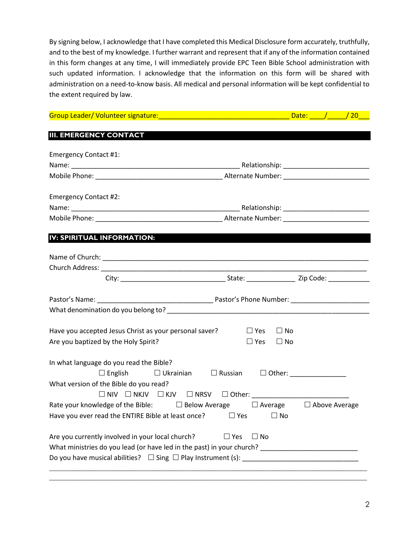By signing below, I acknowledge that I have completed this Medical Disclosure form accurately, truthfully, and to the best of my knowledge. I further warrant and represent that if any of the information contained in this form changes at any time, I will immediately provide EPC Teen Bible School administration with such updated information. I acknowledge that the information on this form will be shared with administration on a need-to-know basis. All medical and personal information will be kept confidential to the extent required by law.

|                                                                                                     | Date: $/$ /20 |
|-----------------------------------------------------------------------------------------------------|---------------|
| <b>III. EMERGENCY CONTACT</b>                                                                       |               |
| <b>Emergency Contact #1:</b>                                                                        |               |
|                                                                                                     |               |
|                                                                                                     |               |
| <b>Emergency Contact #2:</b>                                                                        |               |
|                                                                                                     |               |
|                                                                                                     |               |
| IV: SPIRITUAL INFORMATION:                                                                          |               |
|                                                                                                     |               |
|                                                                                                     |               |
|                                                                                                     |               |
|                                                                                                     |               |
|                                                                                                     |               |
| Have you accepted Jesus Christ as your personal saver?<br>$\square$ Yes                             | $\Box$ No     |
| Are you baptized by the Holy Spirit?<br>$\square$ Yes                                               | $\Box$ No     |
| In what language do you read the Bible?                                                             |               |
| $\Box$ English<br>$\Box$ Ukrainian $\Box$ Russian                                                   |               |
| What version of the Bible do you read?                                                              |               |
|                                                                                                     |               |
| Rate your knowledge of the Bible: $\Box$ Below Average $\Box$ Average $\Box$ Above Average          |               |
| Have you ever read the ENTIRE Bible at least once? $\Box$ Yes $\Box$ No                             |               |
| Are you currently involved in your local church?<br>$\Box$ Yes<br>$\Box$ No                         |               |
| What ministries do you lead (or have led in the past) in your church? _____________________________ |               |
|                                                                                                     |               |
|                                                                                                     |               |

**\_\_\_\_\_\_\_\_\_\_\_\_\_\_\_\_\_\_\_\_\_\_\_\_\_\_\_\_\_\_\_\_\_\_\_\_\_\_\_\_\_\_\_\_\_\_\_\_\_\_\_\_\_\_\_\_\_\_\_\_\_\_\_\_\_\_\_\_\_\_\_\_\_\_\_\_\_\_\_\_\_\_\_\_\_\_\_\_\_\_\_\_\_**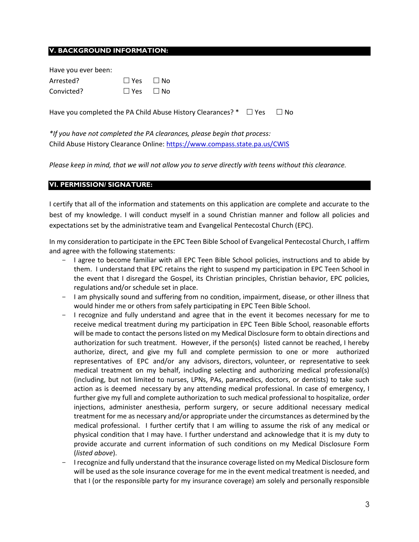#### **V. BACKGROUND INFORMATION:**

| Have you ever been: |                      |  |
|---------------------|----------------------|--|
| Arrested?           | $\Box$ Yes $\Box$ No |  |
| Convicted?          | $\Box$ Yes $\Box$ No |  |

Have you completed the PA Child Abuse History Clearances?  $*$   $\square$  Yes  $\square$  No

*\*If you have not completed the PA clearances, please begin that process:* Child Abuse History Clearance Online: <https://www.compass.state.pa.us/CWIS>

*Please keep in mind, that we will not allow you to serve directly with teens without this clearance.*

### **VI. PERMISSION/ SIGNATURE:**

I certify that all of the information and statements on this application are complete and accurate to the best of my knowledge. I will conduct myself in a sound Christian manner and follow all policies and expectations set by the administrative team and Evangelical Pentecostal Church (EPC).

In my consideration to participate in the EPC Teen Bible School of Evangelical Pentecostal Church, I affirm and agree with the following statements:

- I agree to become familiar with all EPC Teen Bible School policies, instructions and to abide by them. I understand that EPC retains the right to suspend my participation in EPC Teen School in the event that I disregard the Gospel, its Christian principles, Christian behavior, EPC policies, regulations and/or schedule set in place.
- I am physically sound and suffering from no condition, impairment, disease, or other illness that would hinder me or others from safely participating in EPC Teen Bible School.
- I recognize and fully understand and agree that in the event it becomes necessary for me to receive medical treatment during my participation in EPC Teen Bible School, reasonable efforts will be made to contact the persons listed on my Medical Disclosure form to obtain directions and authorization for such treatment. However, if the person(s) listed cannot be reached, I hereby authorize, direct, and give my full and complete permission to one or more authorized representatives of EPC and/or any advisors, directors, volunteer, or representative to seek medical treatment on my behalf, including selecting and authorizing medical professional(s) (including, but not limited to nurses, LPNs, PAs, paramedics, doctors, or dentists) to take such action as is deemed necessary by any attending medical professional. In case of emergency, I further give my full and complete authorization to such medical professional to hospitalize, order injections, administer anesthesia, perform surgery, or secure additional necessary medical treatment for me as necessary and/or appropriate under the circumstances as determined by the medical professional. I further certify that I am willing to assume the risk of any medical or physical condition that I may have. I further understand and acknowledge that it is my duty to provide accurate and current information of such conditions on my Medical Disclosure Form (*listed above*).
- I recognize and fully understand that the insurance coverage listed on my Medical Disclosure form will be used as the sole insurance coverage for me in the event medical treatment is needed, and that I (or the responsible party for my insurance coverage) am solely and personally responsible